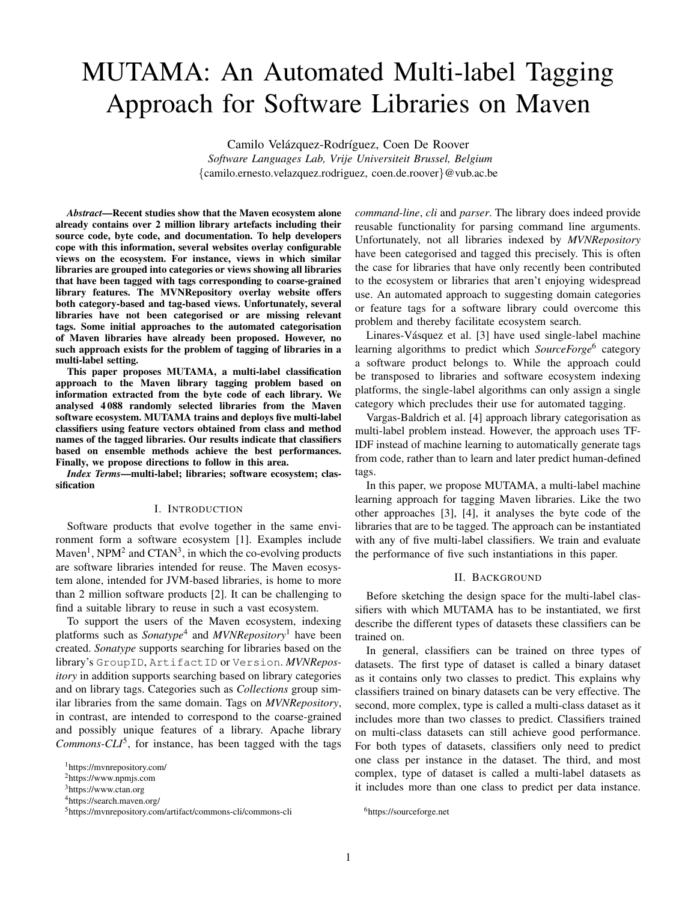# MUTAMA: An Automated Multi-label Tagging Approach for Software Libraries on Maven

Camilo Velázquez-Rodríguez, Coen De Roover

*Software Languages Lab, Vrije Universiteit Brussel, Belgium* {camilo.ernesto.velazquez.rodriguez, coen.de.roover}@vub.ac.be

*Abstract*—Recent studies show that the Maven ecosystem alone already contains over 2 million library artefacts including their source code, byte code, and documentation. To help developers cope with this information, several websites overlay configurable views on the ecosystem. For instance, views in which similar libraries are grouped into categories or views showing all libraries that have been tagged with tags corresponding to coarse-grained library features. The MVNRepository overlay website offers both category-based and tag-based views. Unfortunately, several libraries have not been categorised or are missing relevant tags. Some initial approaches to the automated categorisation of Maven libraries have already been proposed. However, no such approach exists for the problem of tagging of libraries in a multi-label setting.

This paper proposes MUTAMA, a multi-label classification approach to the Maven library tagging problem based on information extracted from the byte code of each library. We analysed 4 088 randomly selected libraries from the Maven software ecosystem. MUTAMA trains and deploys five multi-label classifiers using feature vectors obtained from class and method names of the tagged libraries. Our results indicate that classifiers based on ensemble methods achieve the best performances. Finally, we propose directions to follow in this area.

*Index Terms*—multi-label; libraries; software ecosystem; classification

#### I. INTRODUCTION

Software products that evolve together in the same environment form a software ecosystem [1]. Examples include Maven<sup>1</sup>, NPM<sup>2</sup> and CTAN<sup>3</sup>, in which the co-evolving products are software libraries intended for reuse. The Maven ecosystem alone, intended for JVM-based libraries, is home to more than 2 million software products [2]. It can be challenging to find a suitable library to reuse in such a vast ecosystem.

To support the users of the Maven ecosystem, indexing platforms such as *Sonatype*<sup>4</sup> and *MVNRepository*<sup>1</sup> have been created. *Sonatype* supports searching for libraries based on the library's GroupID, ArtifactID or Version. *MVNRepository* in addition supports searching based on library categories and on library tags. Categories such as *Collections* group similar libraries from the same domain. Tags on *MVNRepository*, in contrast, are intended to correspond to the coarse-grained and possibly unique features of a library. Apache library *Commons-CLI*<sup>5</sup> , for instance, has been tagged with the tags *command-line*, *cli* and *parser*. The library does indeed provide reusable functionality for parsing command line arguments. Unfortunately, not all libraries indexed by *MVNRepository* have been categorised and tagged this precisely. This is often the case for libraries that have only recently been contributed to the ecosystem or libraries that aren't enjoying widespread use. An automated approach to suggesting domain categories or feature tags for a software library could overcome this problem and thereby facilitate ecosystem search.

Linares-Vásquez et al. [3] have used single-label machine learning algorithms to predict which *SourceForge*<sup>6</sup> category a software product belongs to. While the approach could be transposed to libraries and software ecosystem indexing platforms, the single-label algorithms can only assign a single category which precludes their use for automated tagging.

Vargas-Baldrich et al. [4] approach library categorisation as multi-label problem instead. However, the approach uses TF-IDF instead of machine learning to automatically generate tags from code, rather than to learn and later predict human-defined tags.

In this paper, we propose MUTAMA, a multi-label machine learning approach for tagging Maven libraries. Like the two other approaches [3], [4], it analyses the byte code of the libraries that are to be tagged. The approach can be instantiated with any of five multi-label classifiers. We train and evaluate the performance of five such instantiations in this paper.

# II. BACKGROUND

Before sketching the design space for the multi-label classifiers with which MUTAMA has to be instantiated, we first describe the different types of datasets these classifiers can be trained on.

In general, classifiers can be trained on three types of datasets. The first type of dataset is called a binary dataset as it contains only two classes to predict. This explains why classifiers trained on binary datasets can be very effective. The second, more complex, type is called a multi-class dataset as it includes more than two classes to predict. Classifiers trained on multi-class datasets can still achieve good performance. For both types of datasets, classifiers only need to predict one class per instance in the dataset. The third, and most complex, type of dataset is called a multi-label datasets as it includes more than one class to predict per data instance.

<sup>1</sup>https://mvnrepository.com/

<sup>2</sup>https://www.npmjs.com

<sup>3</sup>https://www.ctan.org

<sup>4</sup>https://search.maven.org/

<sup>5</sup>https://mvnrepository.com/artifact/commons-cli/commons-cli

<sup>6</sup>https://sourceforge.net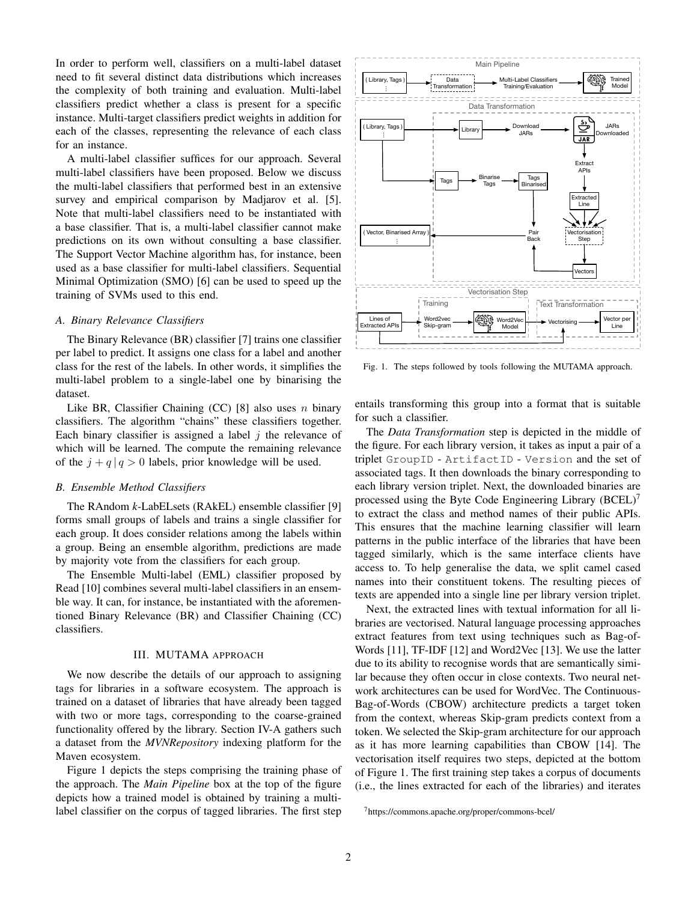In order to perform well, classifiers on a multi-label dataset need to fit several distinct data distributions which increases the complexity of both training and evaluation. Multi-label classifiers predict whether a class is present for a specific instance. Multi-target classifiers predict weights in addition for each of the classes, representing the relevance of each class for an instance.

A multi-label classifier suffices for our approach. Several multi-label classifiers have been proposed. Below we discuss the multi-label classifiers that performed best in an extensive survey and empirical comparison by Madjarov et al. [5]. Note that multi-label classifiers need to be instantiated with a base classifier. That is, a multi-label classifier cannot make predictions on its own without consulting a base classifier. The Support Vector Machine algorithm has, for instance, been used as a base classifier for multi-label classifiers. Sequential Minimal Optimization (SMO) [6] can be used to speed up the training of SVMs used to this end.

## *A. Binary Relevance Classifiers*

The Binary Relevance (BR) classifier [7] trains one classifier per label to predict. It assigns one class for a label and another class for the rest of the labels. In other words, it simplifies the multi-label problem to a single-label one by binarising the dataset.

Like BR, Classifier Chaining  $(CC)$  [8] also uses *n* binary classifiers. The algorithm "chains" these classifiers together. Each binary classifier is assigned a label  $j$  the relevance of which will be learned. The compute the remaining relevance of the  $j + q | q > 0$  labels, prior knowledge will be used.

# *B. Ensemble Method Classifiers*

The RAndom *k*-LabELsets (RAkEL) ensemble classifier [9] forms small groups of labels and trains a single classifier for each group. It does consider relations among the labels within a group. Being an ensemble algorithm, predictions are made by majority vote from the classifiers for each group.

The Ensemble Multi-label (EML) classifier proposed by Read [10] combines several multi-label classifiers in an ensemble way. It can, for instance, be instantiated with the aforementioned Binary Relevance (BR) and Classifier Chaining (CC) classifiers.

## III. MUTAMA APPROACH

We now describe the details of our approach to assigning tags for libraries in a software ecosystem. The approach is trained on a dataset of libraries that have already been tagged with two or more tags, corresponding to the coarse-grained functionality offered by the library. Section IV-A gathers such a dataset from the *MVNRepository* indexing platform for the Maven ecosystem.

Figure 1 depicts the steps comprising the training phase of the approach. The *Main Pipeline* box at the top of the figure depicts how a trained model is obtained by training a multi-



Fig. 1. The steps followed by tools following the MUTAMA approach.

entails transforming this group into a format that is suitable for such a classifier.

The *Data Transformation* step is depicted in the middle of the figure. For each library version, it takes as input a pair of a triplet GroupID - ArtifactID - Version and the set of associated tags. It then downloads the binary corresponding to each library version triplet. Next, the downloaded binaries are processed using the Byte Code Engineering Library (BCEL)<sup>7</sup> to extract the class and method names of their public APIs. This ensures that the machine learning classifier will learn patterns in the public interface of the libraries that have been tagged similarly, which is the same interface clients have access to. To help generalise the data, we split camel cased names into their constituent tokens. The resulting pieces of texts are appended into a single line per library version triplet.

A *Bintery Relevance Classifiers* in the classifier of the classifier (7) trains one classifier  $\frac{1}{2}$ . The corpus of the corpus of the corpus of the classifier class for the rest of the libraries. In the corpus of the Next, the extracted lines with textual information for all libraries are vectorised. Natural language processing approaches extract features from text using techniques such as Bag-of-Words [11], TF-IDF [12] and Word2Vec [13]. We use the latter due to its ability to recognise words that are semantically similar because they often occur in close contexts. Two neural network architectures can be used for WordVec. The Continuous-Bag-of-Words (CBOW) architecture predicts a target token from the context, whereas Skip-gram predicts context from a token. We selected the Skip-gram architecture for our approach as it has more learning capabilities than CBOW [14]. The vectorisation itself requires two steps, depicted at the bottom of Figure 1. The first training step takes a corpus of documents (i.e., the lines extracted for each of the libraries) and iterates

<sup>7</sup>https://commons.apache.org/proper/commons-bcel/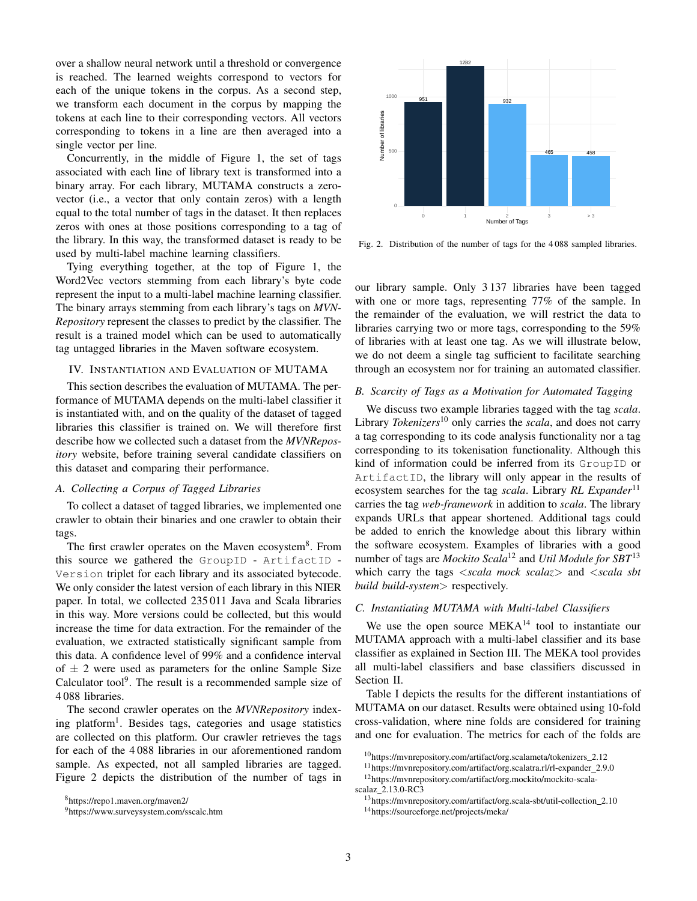over a shallow neural network until a threshold or convergence is reached. The learned weights correspond to vectors for each of the unique tokens in the corpus. As a second step, we transform each document in the corpus by mapping the tokens at each line to their corresponding vectors. All vectors corresponding to tokens in a line are then averaged into a single vector per line.

Concurrently, in the middle of Figure 1, the set of tags associated with each line of library text is transformed into a binary array. For each library, MUTAMA constructs a zerovector (i.e., a vector that only contain zeros) with a length equal to the total number of tags in the dataset. It then replaces zeros with ones at those positions corresponding to a tag of the library. In this way, the transformed dataset is ready to be used by multi-label machine learning classifiers.

Tying everything together, at the top of Figure 1, the Word2Vec vectors stemming from each library's byte code represent the input to a multi-label machine learning classifier. The binary arrays stemming from each library's tags on *MVN-Repository* represent the classes to predict by the classifier. The result is a trained model which can be used to automatically tag untagged libraries in the Maven software ecosystem.

# IV. INSTANTIATION AND EVALUATION OF MUTAMA

This section describes the evaluation of MUTAMA. The performance of MUTAMA depends on the multi-label classifier it is instantiated with, and on the quality of the dataset of tagged libraries this classifier is trained on. We will therefore first describe how we collected such a dataset from the *MVNRepository* website, before training several candidate classifiers on this dataset and comparing their performance.

## *A. Collecting a Corpus of Tagged Libraries*

To collect a dataset of tagged libraries, we implemented one crawler to obtain their binaries and one crawler to obtain their tags.

The first crawler operates on the Maven ecosystem<sup>8</sup>. From this source we gathered the GroupID - ArtifactID - Version triplet for each library and its associated bytecode. We only consider the latest version of each library in this NIER paper. In total, we collected 235 011 Java and Scala libraries in this way. More versions could be collected, but this would increase the time for data extraction. For the remainder of the evaluation, we extracted statistically significant sample from this data. A confidence level of 99% and a confidence interval of  $\pm$  2 were used as parameters for the online Sample Size Calculator tool $9$ . The result is a recommended sample size of 4 088 libraries.

The second crawler operates on the *MVNRepository* indexing platform<sup>1</sup>. Besides tags, categories and usage statistics are collected on this platform. Our crawler retrieves the tags for each of the 4 088 libraries in our aforementioned random sample. As expected, not all sampled libraries are tagged. Figure 2 depicts the distribution of the number of tags in



Fig. 2. Distribution of the number of tags for the 4 088 sampled libraries.

our library sample. Only 3 137 libraries have been tagged with one or more tags, representing 77% of the sample. In the remainder of the evaluation, we will restrict the data to libraries carrying two or more tags, corresponding to the 59% of libraries with at least one tag. As we will illustrate below, we do not deem a single tag sufficient to facilitate searching through an ecosystem nor for training an automated classifier.

# *B. Scarcity of Tags as a Motivation for Automated Tagging*

We discuss two example libraries tagged with the tag *scala*. Library *Tokenizers*<sup>10</sup> only carries the *scala*, and does not carry a tag corresponding to its code analysis functionality nor a tag corresponding to its tokenisation functionality. Although this kind of information could be inferred from its GroupID or ArtifactID, the library will only appear in the results of ecosystem searches for the tag *scala*. Library *RL Expander*<sup>11</sup> carries the tag *web-framework* in addition to *scala*. The library expands URLs that appear shortened. Additional tags could be added to enrich the knowledge about this library within the software ecosystem. Examples of libraries with a good number of tags are *Mockito Scala*<sup>12</sup> and *Util Module for SBT*<sup>13</sup> which carry the tags <*scala mock scalaz*> and <*scala sbt build build-system*> respectively.

# *C. Instantiating MUTAMA with Multi-label Classifiers*

We use the open source MEKA<sup>14</sup> tool to instantiate our MUTAMA approach with a multi-label classifier and its base classifier as explained in Section III. The MEKA tool provides all multi-label classifiers and base classifiers discussed in Section II.

Table I depicts the results for the different instantiations of MUTAMA on our dataset. Results were obtained using 10-fold cross-validation, where nine folds are considered for training and one for evaluation. The metrics for each of the folds are

<sup>8</sup>https://repo1.maven.org/maven2/

<sup>9</sup>https://www.surveysystem.com/sscalc.htm

<sup>10</sup>https://mvnrepository.com/artifact/org.scalameta/tokenizers 2.12

<sup>11</sup>https://mvnrepository.com/artifact/org.scalatra.rl/rl-expander 2.9.0 <sup>12</sup>https://mvnrepository.com/artifact/org.mockito/mockito-scala-

scalaz\_2.13.0-RC3 <sup>13</sup>https://mvnrepository.com/artifact/org.scala-sbt/util-collection 2.10

<sup>14</sup>https://sourceforge.net/projects/meka/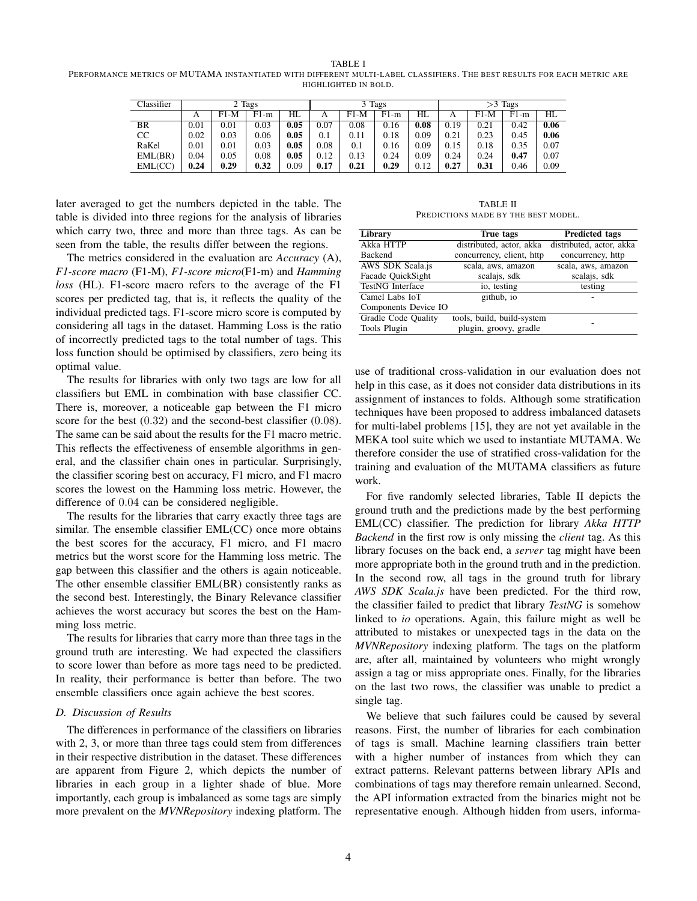TABLE I

PERFORMANCE METRICS OF MUTAMA INSTANTIATED WITH DIFFERENT MULTI-LABEL CLASSIFIERS. THE BEST RESULTS FOR EACH METRIC ARE HIGHLIGHTED IN BOLD.

| Classifier | 2 Tags |        |        |      | 3 Tags |        |        |      | Tags<br>>3 |        |        |      |
|------------|--------|--------|--------|------|--------|--------|--------|------|------------|--------|--------|------|
|            | А      | $F1-M$ | $F1-m$ | HL   | А      | $F1-M$ | $F1-m$ | HL   | А          | $F1-M$ | $F1-m$ | HL   |
| BR         | 0.01   | 0.01   | 0.03   | 0.05 | 0.07   | 0.08   | 0.16   | 0.08 | 0.19       | 0.21   | 0.42   | 0.06 |
| CC         | 0.02   | 0.03   | 0.06   | 0.05 | 0.1    | 0.11   | 0.18   | 0.09 | 0.21       | 0.23   | 0.45   | 0.06 |
| RaKel      | 0.01   | 0.01   | 0.03   | 0.05 | 0.08   | 0.1    | 0.16   | 0.09 | 0.15       | 0.18   | 0.35   | 0.07 |
| EML(BR)    | 0.04   | 0.05   | 0.08   | 0.05 | 0.12   | 0.13   | 0.24   | 0.09 | 0.24       | 0.24   | 0.47   | 0.07 |
| EML(CC)    | 0.24   | 0.29   | 0.32   | 0.09 | 0.17   | 0.21   | 0.29   | 0.12 | 0.27       | 0.31   | 0.46   | 0.09 |

later averaged to get the numbers depicted in the table. The table is divided into three regions for the analysis of libraries which carry two, three and more than three tags. As can be seen from the table, the results differ between the regions.

The metrics considered in the evaluation are *Accuracy* (A), *F1-score macro* (F1-M), *F1-score micro*(F1-m) and *Hamming loss* (HL). F1-score macro refers to the average of the F1 scores per predicted tag, that is, it reflects the quality of the individual predicted tags. F1-score micro score is computed by considering all tags in the dataset. Hamming Loss is the ratio of incorrectly predicted tags to the total number of tags. This loss function should be optimised by classifiers, zero being its optimal value.

The results for libraries with only two tags are low for all classifiers but EML in combination with base classifier CC. There is, moreover, a noticeable gap between the F1 micro score for the best  $(0.32)$  and the second-best classifier  $(0.08)$ . The same can be said about the results for the F1 macro metric. This reflects the effectiveness of ensemble algorithms in general, and the classifier chain ones in particular. Surprisingly, the classifier scoring best on accuracy, F1 micro, and F1 macro scores the lowest on the Hamming loss metric. However, the difference of 0.04 can be considered negligible.

The results for the libraries that carry exactly three tags are similar. The ensemble classifier EML(CC) once more obtains the best scores for the accuracy, F1 micro, and F1 macro metrics but the worst score for the Hamming loss metric. The gap between this classifier and the others is again noticeable. The other ensemble classifier EML(BR) consistently ranks as the second best. Interestingly, the Binary Relevance classifier achieves the worst accuracy but scores the best on the Hamming loss metric.

The results for libraries that carry more than three tags in the ground truth are interesting. We had expected the classifiers to score lower than before as more tags need to be predicted. In reality, their performance is better than before. The two ensemble classifiers once again achieve the best scores.

## *D. Discussion of Results*

The differences in performance of the classifiers on libraries with 2, 3, or more than three tags could stem from differences in their respective distribution in the dataset. These differences are apparent from Figure 2, which depicts the number of libraries in each group in a lighter shade of blue. More importantly, each group is imbalanced as some tags are simply more prevalent on the *MVNRepository* indexing platform. The

TABLE II PREDICTIONS MADE BY THE BEST MODEL.

| <b>Library</b>          | True tags                  | <b>Predicted tags</b>    |
|-------------------------|----------------------------|--------------------------|
| Akka HTTP               | distributed, actor, akka   | distributed, actor, akka |
| <b>Backend</b>          | concurrency, client, http. | concurrency, http        |
| AWS SDK Scala.js        | scala, aws, amazon         | scala, aws, amazon       |
| Facade QuickSight       | scalajs, sdk               | scalajs, sdk             |
| <b>TestNG</b> Interface | io, testing                | testing                  |
| Camel Labs IoT          | github, io                 |                          |
| Components Device IO    |                            |                          |
| Gradle Code Quality     | tools, build, build-system |                          |
| Tools Plugin            | plugin, groovy, gradle     |                          |
|                         |                            |                          |

use of traditional cross-validation in our evaluation does not help in this case, as it does not consider data distributions in its assignment of instances to folds. Although some stratification techniques have been proposed to address imbalanced datasets for multi-label problems [15], they are not yet available in the MEKA tool suite which we used to instantiate MUTAMA. We therefore consider the use of stratified cross-validation for the training and evaluation of the MUTAMA classifiers as future work.

For five randomly selected libraries, Table II depicts the ground truth and the predictions made by the best performing EML(CC) classifier. The prediction for library *Akka HTTP Backend* in the first row is only missing the *client* tag. As this library focuses on the back end, a *server* tag might have been more appropriate both in the ground truth and in the prediction. In the second row, all tags in the ground truth for library *AWS SDK Scala.js* have been predicted. For the third row, the classifier failed to predict that library *TestNG* is somehow linked to *io* operations. Again, this failure might as well be attributed to mistakes or unexpected tags in the data on the *MVNRepository* indexing platform. The tags on the platform are, after all, maintained by volunteers who might wrongly assign a tag or miss appropriate ones. Finally, for the libraries on the last two rows, the classifier was unable to predict a single tag.

We believe that such failures could be caused by several reasons. First, the number of libraries for each combination of tags is small. Machine learning classifiers train better with a higher number of instances from which they can extract patterns. Relevant patterns between library APIs and combinations of tags may therefore remain unlearned. Second, the API information extracted from the binaries might not be representative enough. Although hidden from users, informa